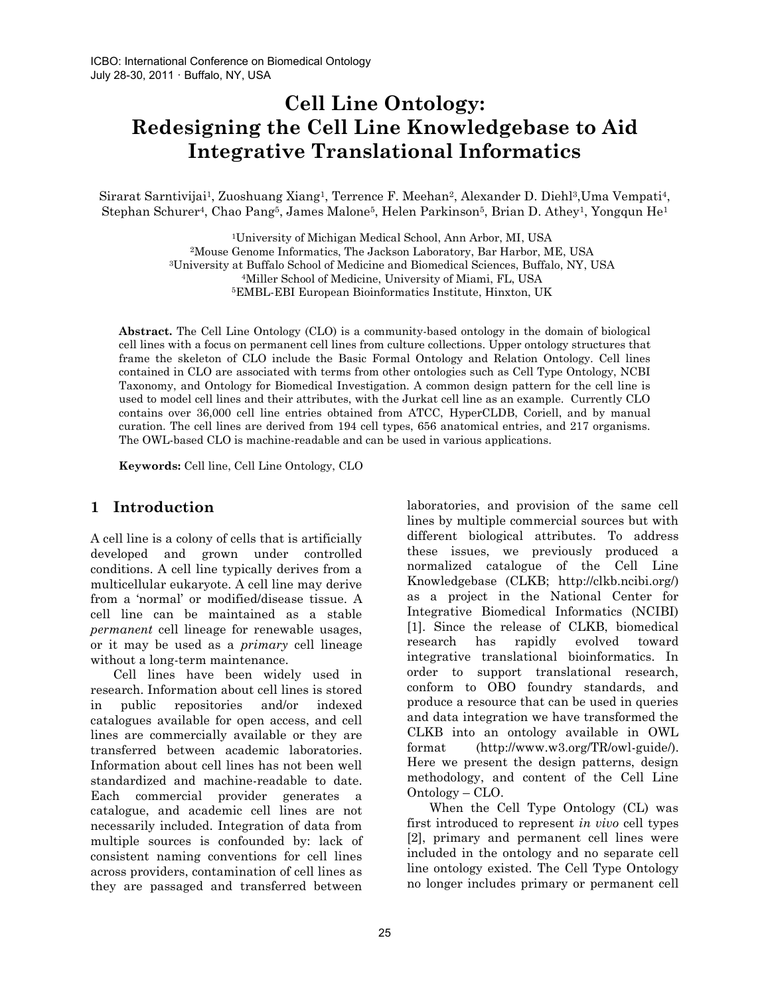# **Cell Line Ontology: Redesigning the Cell Line Knowledgebase to Aid Integrative Translational Informatics**

Sirarat Sarntivijai<sup>1</sup>, Zuoshuang Xiang<sup>1</sup>, Terrence F. Meehan<sup>2</sup>, Alexander D. Diehl<sup>3</sup>, Uma Vempati<sup>4</sup>, Stephan Schurer<sup>4</sup>, Chao Pang<sup>5</sup>, James Malone<sup>5</sup>, Helen Parkinson<sup>5</sup>, Brian D. Athey<sup>1</sup>, Yongqun He<sup>1</sup>

> University of Michigan Medical School, Ann Arbor, MI, USA Mouse Genome Informatics, The Jackson Laboratory, Bar Harbor, ME, USA University at Buffalo School of Medicine and Biomedical Sciences, Buffalo, NY, USA Miller School of Medicine, University of Miami, FL, USA EMBL-EBI European Bioinformatics Institute, Hinxton, UK

**Abstract.** The Cell Line Ontology (CLO) is a community-based ontology in the domain of biological cell lines with a focus on permanent cell lines from culture collections. Upper ontology structures that frame the skeleton of CLO include the Basic Formal Ontology and Relation Ontology. Cell lines contained in CLO are associated with terms from other ontologies such as Cell Type Ontology, NCBI Taxonomy, and Ontology for Biomedical Investigation. A common design pattern for the cell line is used to model cell lines and their attributes, with the Jurkat cell line as an example. Currently CLO contains over 36,000 cell line entries obtained from ATCC, HyperCLDB, Coriell, and by manual curation. The cell lines are derived from 194 cell types, 656 anatomical entries, and 217 organisms. The OWL-based CLO is machine-readable and can be used in various applications.

**Keywords:** Cell line, Cell Line Ontology, CLO

# **1 Introduction**

A cell line is a colony of cells that is artificially developed and grown under controlled conditions. A cell line typically derives from a multicellular eukaryote. A cell line may derive from a 'normal' or modified/disease tissue. A cell line can be maintained as a stable *permanent* cell lineage for renewable usages, or it may be used as a *primary* cell lineage without a long-term maintenance.

Cell lines have been widely used in research. Information about cell lines is stored in public repositories and/or indexed catalogues available for open access, and cell lines are commercially available or they are transferred between academic laboratories. Information about cell lines has not been well standardized and machine-readable to date. Each commercial provider generates a catalogue, and academic cell lines are not necessarily included. Integration of data from multiple sources is confounded by: lack of consistent naming conventions for cell lines across providers, contamination of cell lines as they are passaged and transferred between

laboratories, and provision of the same cell lines by multiple commercial sources but with different biological attributes. To address these issues, we previously produced a normalized catalogue of the Cell Line Knowledgebase (CLKB; [http://clkb.ncibi.org/\)](http://clkb.ncibi.org/) as a project in the National Center for Integrative Biomedical Informatics (NCIBI) [1]. Since the release of CLKB, biomedical research has rapidly evolved toward integrative translational bioinformatics. In order to support translational research, conform to OBO foundry standards, and produce a resource that can be used in queries and data integration we have transformed the CLKB into an ontology available in OWL format [\(http://www.w3.org/TR/owl-guide/\)](http://www.w3.org/TR/owl-guide/). Here we present the design patterns, design methodology, and content of the Cell Line Ontology – CLO.

When the Cell Type Ontology (CL) was first introduced to represent *in vivo* cell types [2], primary and permanent cell lines were included in the ontology and no separate cell line ontology existed. The Cell Type Ontology no longer includes primary or permanent cell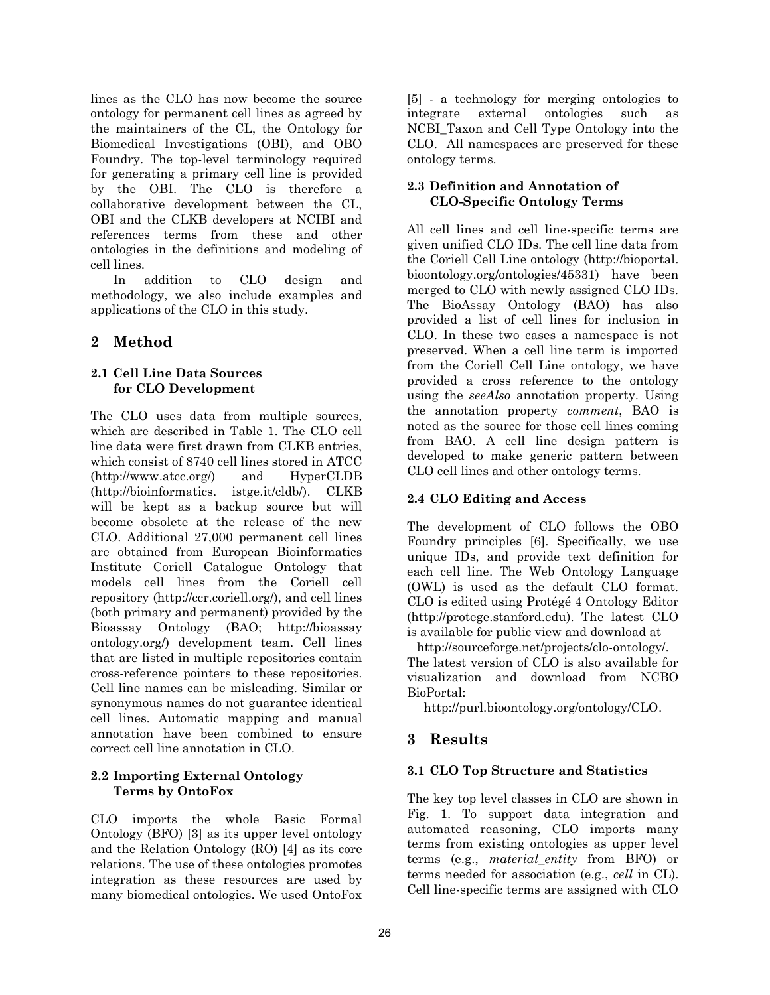lines as the CLO has now become the source ontology for permanent cell lines as agreed by the maintainers of the CL, the Ontology for Biomedical Investigations (OBI), and OBO Foundry. The top-level terminology required for generating a primary cell line is provided by the OBI. The CLO is therefore a collaborative development between the CL, OBI and the CLKB developers at NCIBI and references terms from these and other ontologies in the definitions and modeling of cell lines.

In addition to CLO design and methodology, we also include examples and applications of the CLO in this study.

# **2 Method**

# **2.1 Cell Line Data Sources for CLO Development**

The CLO uses data from multiple sources, which are described in Table 1. The CLO cell line data were first drawn from CLKB entries, which consist of 8740 cell lines stored in ATCC [\(http://www.atcc.org/\)](http://www.atcc.org/) and HyperCLDB (http://bioinformatics. istge.it/cldb/). CLKB will be kept as a backup source but will become obsolete at the release of the new CLO. Additional 27,000 permanent cell lines are obtained from European Bioinformatics Institute Coriell Catalogue Ontology that models cell lines from the Coriell cell repository [\(http://ccr.coriell.org/\)](http://ccr.coriell.org/), and cell lines (both primary and permanent) provided by the Bioassay Ontology (BAO; [http://bioassay](http://bioassayontology.org/)  [ontology.org/\)](http://bioassayontology.org/) development team. Cell lines that are listed in multiple repositories contain cross-reference pointers to these repositories. Cell line names can be misleading. Similar or synonymous names do not guarantee identical cell lines. Automatic mapping and manual annotation have been combined to ensure correct cell line annotation in CLO.

# **2.2 Importing External Ontology Terms by OntoFox**

CLO imports the whole Basic Formal Ontology (BFO) [3] as its upper level ontology and the Relation Ontology (RO) [4] as its core relations. The use of these ontologies promotes integration as these resources are used by many biomedical ontologies. We used OntoFox

[5] - a technology for merging ontologies to integrate external ontologies such as NCBI\_Taxon and Cell Type Ontology into the CLO. All namespaces are preserved for these ontology terms.

# **2.3 Definition and Annotation of CLO-Specific Ontology Terms**

All cell lines and cell line-specific terms are given unified CLO IDs. The cell line data from the Coriell Cell Line ontology [\(http://bioportal.](http://bioportal.bioontology.org/)  [bioontology.org/o](http://bioportal.bioontology.org/)ntologies/45331) have been merged to CLO with newly assigned CLO IDs. The BioAssay Ontology (BAO) has also provided a list of cell lines for inclusion in CLO. In these two cases a namespace is not preserved. When a cell line term is imported from the Coriell Cell Line ontology, we have provided a cross reference to the ontology using the *seeAlso* annotation property. Using the annotation property *comment*, BAO is noted as the source for those cell lines coming from BAO. A cell line design pattern is developed to make generic pattern between CLO cell lines and other ontology terms.

# **2.4 CLO Editing and Access**

The development of CLO follows the OBO Foundry principles [6]. Specifically, we use unique IDs, and provide text definition for each cell line. The Web Ontology Language (OWL) is used as the default CLO format. CLO is edited using Protégé 4 Ontology Editor [\(http://protege.stanford.edu\)](http://protege.stanford.edu/). The latest CLO is available for public view and download at

[http://sourceforge.net/projects/clo-ontology/.](http://sourceforge.net/projects/clo-ontology/) The latest version of CLO is also available for visualization and download from NCBO BioPortal:

[http://purl.bioontology.org/ontology/CLO.](http://purl.bioontology.org/ontology/CLO)

# **3 Results**

# **3.1 CLO Top Structure and Statistics**

The key top level classes in CLO are shown in Fig. 1. To support data integration and automated reasoning, CLO imports many terms from existing ontologies as upper level terms (e.g., *material\_entity* from BFO) or terms needed for association (e.g., *cell* in CL). Cell line-specific terms are assigned with CLO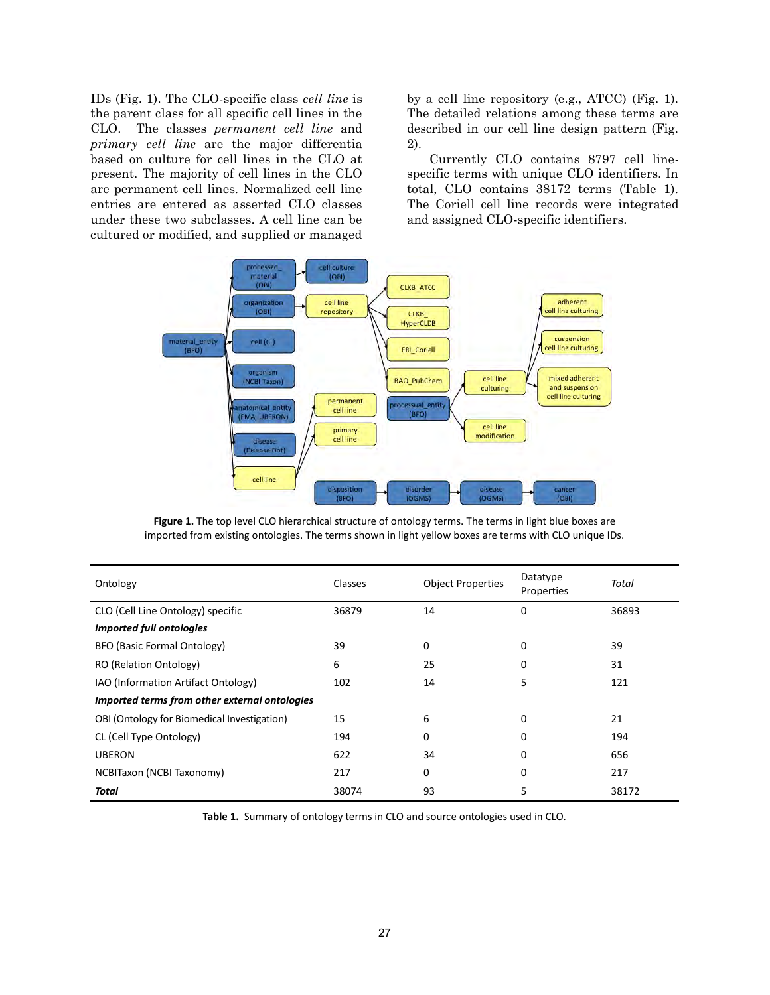IDs (Fig. 1). The CLO-specific class *cell line* is the parent class for all specific cell lines in the CLO. The classes *permanent cell line* and *primary cell line* are the major differentia based on culture for cell lines in the CLO at present. The majority of cell lines in the CLO are permanent cell lines. Normalized cell line entries are entered as asserted CLO classes under these two subclasses. A cell line can be cultured or modified, and supplied or managed

by a cell line repository (e.g., ATCC) (Fig. 1). The detailed relations among these terms are described in our cell line design pattern (Fig. 2).

Currently CLO contains 8797 cell linespecific terms with unique CLO identifiers. In total, CLO contains 38172 terms (Table 1). The Coriell cell line records were integrated and assigned CLO-specific identifiers.



**Figure 1.** The top level CLO hierarchical structure of ontology terms. The terms in light blue boxes are imported from existing ontologies. The terms shown in light yellow boxes are terms with CLO unique IDs.

| Ontology                                      | Classes | <b>Object Properties</b> | Datatype<br>Properties | Total |
|-----------------------------------------------|---------|--------------------------|------------------------|-------|
| CLO (Cell Line Ontology) specific             | 36879   | 14                       | $\Omega$               | 36893 |
| <b>Imported full ontologies</b>               |         |                          |                        |       |
| BFO (Basic Formal Ontology)                   | 39      | 0                        | 0                      | 39    |
| RO (Relation Ontology)                        | 6       | 25                       | 0                      | 31    |
| IAO (Information Artifact Ontology)           | 102     | 14                       | 5                      | 121   |
| Imported terms from other external ontologies |         |                          |                        |       |
| OBI (Ontology for Biomedical Investigation)   | 15      | 6                        | $\Omega$               | 21    |
| CL (Cell Type Ontology)                       | 194     | $\Omega$                 | 0                      | 194   |
| <b>UBERON</b>                                 | 622     | 34                       | 0                      | 656   |
| NCBITaxon (NCBI Taxonomy)                     | 217     | 0                        | $\Omega$               | 217   |
| Total                                         | 38074   | 93                       | 5                      | 38172 |

**Table 1.** Summary of ontology terms in CLO and source ontologies used in CLO.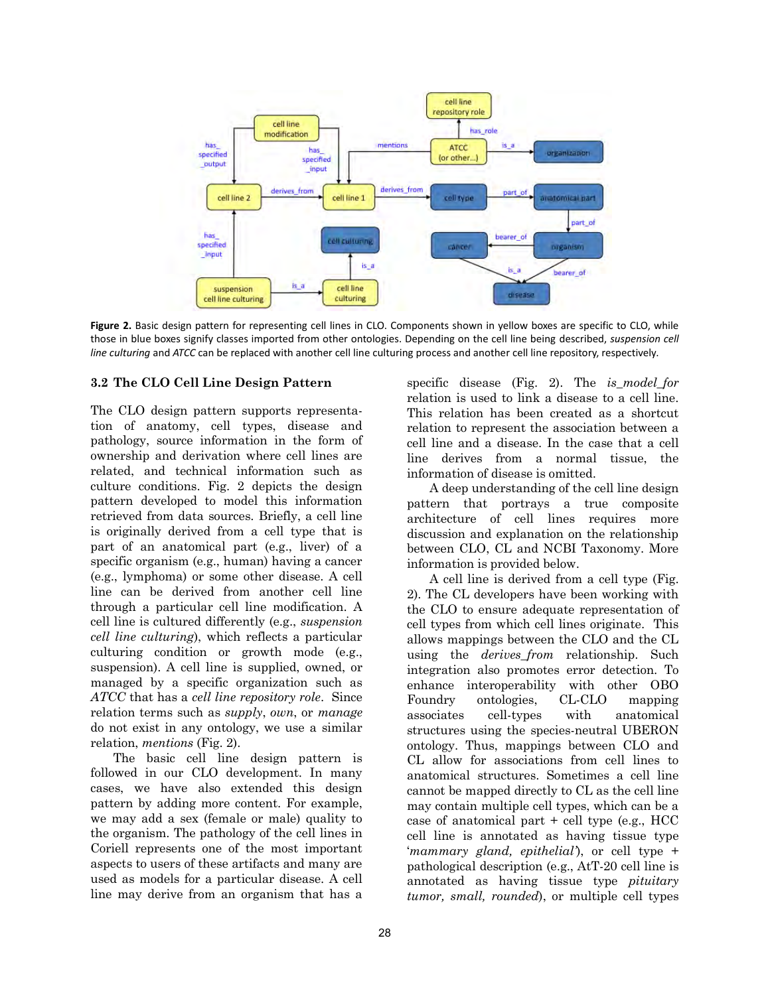

**Figure 2.** Basic design pattern for representing cell lines in CLO. Components shown in yellow boxes are specific to CLO, while those in blue boxes signify classes imported from other ontologies. Depending on the cell line being described, *suspension cell line culturing* and *ATCC* can be replaced with another cell line culturing process and another cell line repository, respectively.

#### **3.2 The CLO Cell Line Design Pattern**

The CLO design pattern supports representation of anatomy, cell types, disease and pathology, source information in the form of ownership and derivation where cell lines are related, and technical information such as culture conditions. Fig. 2 depicts the design pattern developed to model this information retrieved from data sources. Briefly, a cell line is originally derived from a cell type that is part of an anatomical part (e.g., liver) of a specific organism (e.g., human) having a cancer (e.g., lymphoma) or some other disease. A cell line can be derived from another cell line through a particular cell line modification. A cell line is cultured differently (e.g., *suspension cell line culturing*), which reflects a particular culturing condition or growth mode (e.g., suspension). A cell line is supplied, owned, or managed by a specific organization such as *ATCC* that has a *cell line repository role*. Since relation terms such as *supply*, *own*, or *manage* do not exist in any ontology, we use a similar relation, *mentions* (Fig. 2).

The basic cell line design pattern is followed in our CLO development. In many cases, we have also extended this design pattern by adding more content. For example, we may add a sex (female or male) quality to the organism. The pathology of the cell lines in Coriell represents one of the most important aspects to users of these artifacts and many are used as models for a particular disease. A cell line may derive from an organism that has a

specific disease (Fig. 2). The *is\_model\_for* relation is used to link a disease to a cell line. This relation has been created as a shortcut relation to represent the association between a cell line and a disease. In the case that a cell line derives from a normal tissue, the information of disease is omitted.

A deep understanding of the cell line design pattern that portrays a true composite architecture of cell lines requires more discussion and explanation on the relationship between CLO, CL and NCBI Taxonomy. More information is provided below.

A cell line is derived from a cell type (Fig. 2). The CL developers have been working with the CLO to ensure adequate representation of cell types from which cell lines originate. This allows mappings between the CLO and the CL using the *derives\_from* relationship. Such integration also promotes error detection. To enhance interoperability with other OBO Foundry ontologies, CL-CLO mapping associates cell-types with anatomical structures using the species-neutral UBERON ontology. Thus, mappings between CLO and CL allow for associations from cell lines to anatomical structures. Sometimes a cell line cannot be mapped directly to CL as the cell line may contain multiple cell types, which can be a case of anatomical part + cell type (e.g., HCC cell line is annotated as having tissue type '*mammary gland, epithelial'*), or cell type + pathological description (e.g., AtT-20 cell line is annotated as having tissue type *pituitary tumor, small, rounded*), or multiple cell types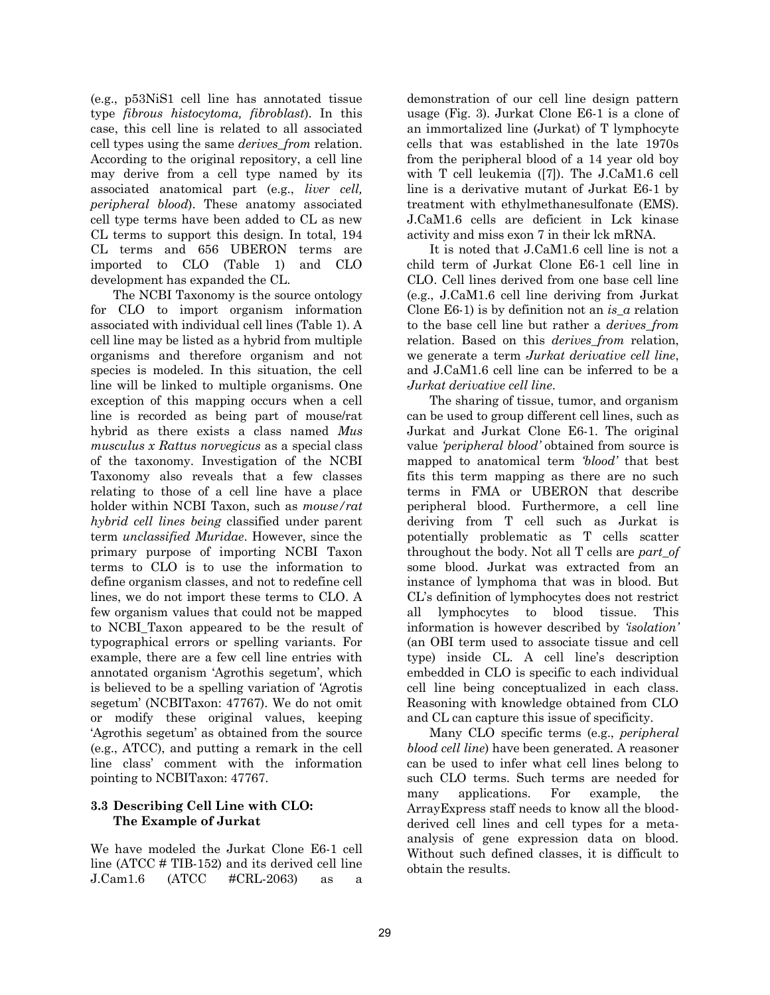(e.g., p53NiS1 cell line has annotated tissue type *fibrous histocytoma, fibroblast*). In this case, this cell line is related to all associated cell types using the same *derives\_from* relation. According to the original repository, a cell line may derive from a cell type named by its associated anatomical part (e.g., *liver cell, peripheral blood*). These anatomy associated cell type terms have been added to CL as new CL terms to support this design. In total, 194 CL terms and 656 UBERON terms are imported to CLO (Table 1) and CLO development has expanded the CL.

The NCBI Taxonomy is the source ontology for CLO to import organism information associated with individual cell lines (Table 1). A cell line may be listed as a hybrid from multiple organisms and therefore organism and not species is modeled. In this situation, the cell line will be linked to multiple organisms. One exception of this mapping occurs when a cell line is recorded as being part of mouse/rat hybrid as there exists a class named *Mus musculus x Rattus norvegicus* as a special class of the taxonomy. Investigation of the NCBI Taxonomy also reveals that a few classes relating to those of a cell line have a place holder within NCBI Taxon, such as *mouse/rat hybrid cell lines being* classified under parent term *unclassified Muridae*. However, since the primary purpose of importing NCBI Taxon terms to CLO is to use the information to define organism classes, and not to redefine cell lines, we do not import these terms to CLO. A few organism values that could not be mapped to NCBI\_Taxon appeared to be the result of typographical errors or spelling variants. For example, there are a few cell line entries with annotated organism 'Agrothis segetum', which is believed to be a spelling variation of *'*Agrotis segetum' (NCBITaxon: 47767). We do not omit or modify these original values, keeping 'Agrothis segetum' as obtained from the source (e.g., ATCC), and putting a remark in the cell line class' comment with the information pointing to NCBITaxon: 47767.

#### **3.3 Describing Cell Line with CLO: The Example of Jurkat**

We have modeled the Jurkat Clone E6-1 cell line (ATCC # TIB-152) and its derived cell line J.Cam1.6 (ATCC #CRL-2063) as a

demonstration of our cell line design pattern usage (Fig. 3). Jurkat Clone E6-1 is a clone of an immortalized line (Jurkat) of T lymphocyte cells that was established in the late 1970s from the peripheral blood of a 14 year old boy with T cell leukemia ([7]). The J.CaM1.6 cell line is a derivative mutant of Jurkat E6-1 by treatment with ethylmethanesulfonate (EMS). J.CaM1.6 cells are deficient in Lck kinase activity and miss exon 7 in their lck mRNA.

It is noted that J.CaM1.6 cell line is not a child term of Jurkat Clone E6-1 cell line in CLO. Cell lines derived from one base cell line (e.g., J.CaM1.6 cell line deriving from Jurkat Clone E6-1) is by definition not an *is\_a* relation to the base cell line but rather a *derives\_from*  relation. Based on this *derives\_from* relation, we generate a term *Jurkat derivative cell line*, and J.CaM1.6 cell line can be inferred to be a *Jurkat derivative cell line*.

The sharing of tissue, tumor, and organism can be used to group different cell lines, such as Jurkat and Jurkat Clone E6-1. The original value *'peripheral blood'* obtained from source is mapped to anatomical term *'blood'* that best fits this term mapping as there are no such terms in FMA or UBERON that describe peripheral blood. Furthermore, a cell line deriving from T cell such as Jurkat is potentially problematic as T cells scatter throughout the body. Not all T cells are *part\_of* some blood. Jurkat was extracted from an instance of lymphoma that was in blood. But CL's definition of lymphocytes does not restrict all lymphocytes to blood tissue. This information is however described by *'isolation'*  (an OBI term used to associate tissue and cell type) inside CL. A cell line's description embedded in CLO is specific to each individual cell line being conceptualized in each class. Reasoning with knowledge obtained from CLO and CL can capture this issue of specificity.

Many CLO specific terms (e.g., *peripheral blood cell line*) have been generated. A reasoner can be used to infer what cell lines belong to such CLO terms. Such terms are needed for many applications. For example, the ArrayExpress staff needs to know all the bloodderived cell lines and cell types for a metaanalysis of gene expression data on blood. Without such defined classes, it is difficult to obtain the results.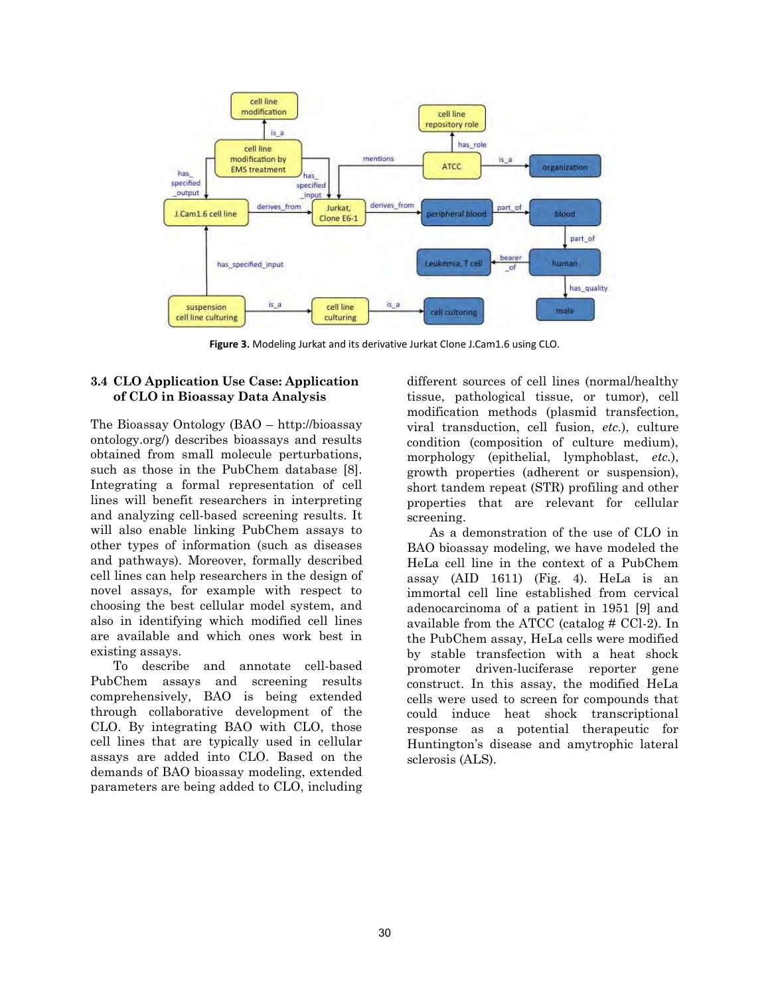

**Figure 3.** Modeling Jurkat and its derivative Jurkat Clone J.Cam1.6 using CLO.

### **3.4 CLO Application Use Case: Application of CLO in Bioassay Data Analysis**

The Bioassay Ontology (BAO – http://bioassay ontology.org/) describes bioassays and results obtained from small molecule perturbations, such as those in the PubChem database [8]. Integrating a formal representation of cell lines will benefit researchers in interpreting and analyzing cell-based screening results. It will also enable linking PubChem assays to other types of information (such as diseases and pathways). Moreover, formally described cell lines can help researchers in the design of novel assays, for example with respect to choosing the best cellular model system, and also in identifying which modified cell lines are available and which ones work best in existing assays.

To describe and annotate cell-based PubChem assays and screening results comprehensively, BAO is being extended through collaborative development of the CLO. By integrating BAO with CLO, those cell lines that are typically used in cellular assays are added into CLO. Based on the demands of BAO bioassay modeling, extended parameters are being added to CLO, including

different sources of cell lines (normal/healthy tissue, pathological tissue, or tumor), cell modification methods (plasmid transfection, viral transduction, cell fusion, *etc.*), culture condition (composition of culture medium), morphology (epithelial, lymphoblast, *etc.*), growth properties (adherent or suspension), short tandem repeat (STR) profiling and other properties that are relevant for cellular screening.

As a demonstration of the use of CLO in BAO bioassay modeling, we have modeled the HeLa cell line in the context of a PubChem assay (AID 1611) (Fig. 4). HeLa is an immortal cell line established from cervical adenocarcinoma of a patient in 1951 [9] and available from the ATCC (catalog # CCl-2). In the PubChem assay, HeLa cells were modified by stable transfection with a heat shock promoter driven-luciferase reporter gene construct. In this assay, the modified HeLa cells were used to screen for compounds that could induce heat shock transcriptional response as a potential therapeutic for Huntington's disease and amytrophic lateral sclerosis (ALS).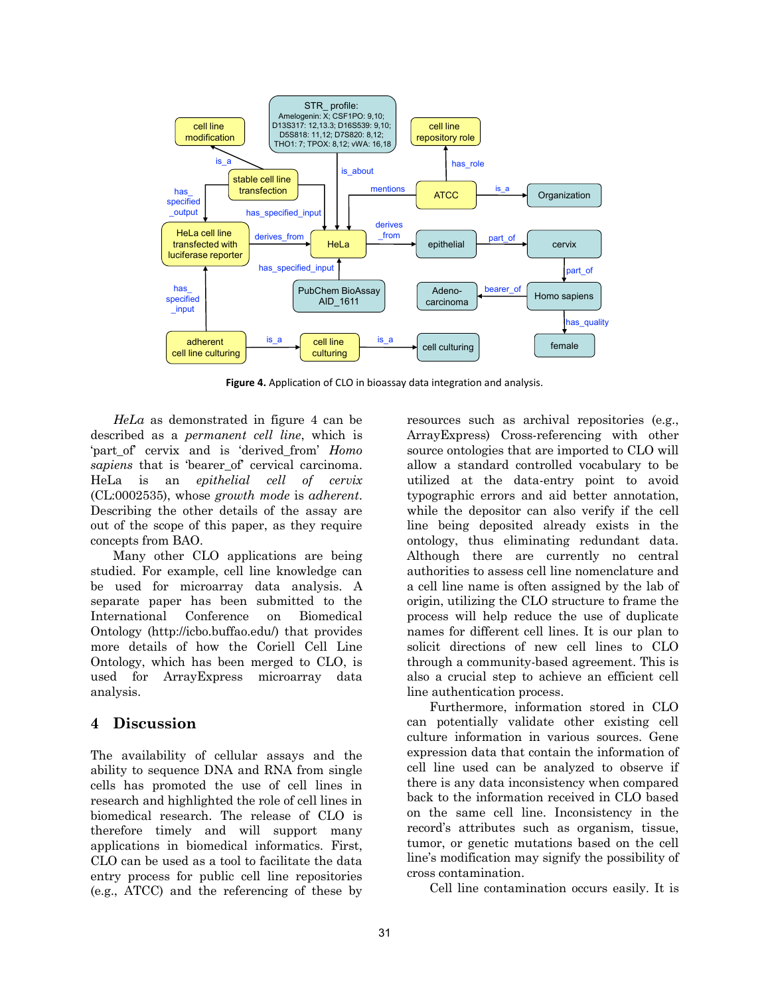

**Figure 4.** Application of CLO in bioassay data integration and analysis.

*HeLa* as demonstrated in figure 4 can be described as a *permanent cell line*, which is 'part\_of' cervix and is 'derived\_from' *Homo sapiens* that is 'bearer\_of' cervical carcinoma. HeLa is an *epithelial cell of cervix* (CL:0002535), whose *growth mode* is *adherent*. Describing the other details of the assay are out of the scope of this paper, as they require concepts from BAO.

Many other CLO applications are being studied. For example, cell line knowledge can be used for microarray data analysis. A separate paper has been submitted to the International Conference on Biomedical Ontology [\(http://icbo.buffao.edu/\)](http://icbo.buffao.edu/) that provides more details of how the Coriell Cell Line Ontology, which has been merged to CLO, is used for ArrayExpress microarray data analysis.

# **4 Discussion**

The availability of cellular assays and the ability to sequence DNA and RNA from single cells has promoted the use of cell lines in research and highlighted the role of cell lines in biomedical research. The release of CLO is therefore timely and will support many applications in biomedical informatics. First, CLO can be used as a tool to facilitate the data entry process for public cell line repositories (e.g., ATCC) and the referencing of these by

resources such as archival repositories (e.g., ArrayExpress) Cross-referencing with other source ontologies that are imported to CLO will allow a standard controlled vocabulary to be utilized at the data-entry point to avoid typographic errors and aid better annotation, while the depositor can also verify if the cell line being deposited already exists in the ontology, thus eliminating redundant data. Although there are currently no central authorities to assess cell line nomenclature and a cell line name is often assigned by the lab of origin, utilizing the CLO structure to frame the process will help reduce the use of duplicate names for different cell lines. It is our plan to solicit directions of new cell lines to CLO through a community-based agreement. This is also a crucial step to achieve an efficient cell line authentication process.

Furthermore, information stored in CLO can potentially validate other existing cell culture information in various sources. Gene expression data that contain the information of cell line used can be analyzed to observe if there is any data inconsistency when compared back to the information received in CLO based on the same cell line. Inconsistency in the record's attributes such as organism, tissue, tumor, or genetic mutations based on the cell line's modification may signify the possibility of cross contamination.

Cell line contamination occurs easily. It is